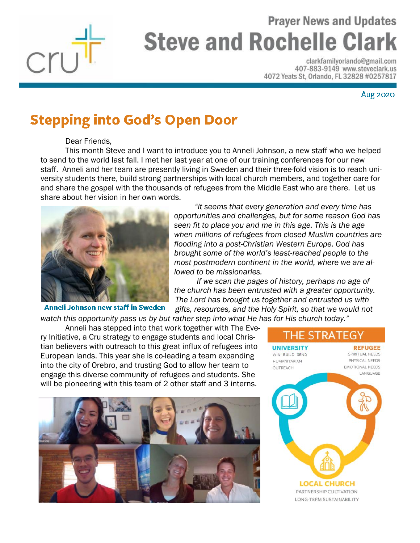

## **Prayer News and Updates Steve and Rochelle Clark**

clarkfamilyorlando@gmail.com 407-883-9149 www.steveclark.us 4072 Yeats St, Orlando, FL 32828 #0257817

**Aug 2020** 

## **Stepping into God's Open Door**

Dear Friends,

This month Steve and I want to introduce you to Anneli Johnson, a new staff who we helped to send to the world last fall. I met her last year at one of our training conferences for our new staff. Anneli and her team are presently living in Sweden and their three-fold vision is to reach university students there, build strong partnerships with local church members, and together care for and share the gospel with the thousands of refugees from the Middle East who are there. Let us share about her vision in her own words.



Anneli Johnson new staff in Sweden

 *"It seems that every generation and every time has opportunities and challenges, but for some reason God has seen fit to place you and me in this age. This is the age when millions of refugees from closed Muslim countries are flooding into a post-Christian Western Europe. God has brought some of the world's least-reached people to the most postmodern continent in the world, where we are allowed to be missionaries.* 

 *If we scan the pages of history, perhaps no age of the church has been entrusted with a greater opportunity. The Lord has brought us together and entrusted us with gifts, resources, and the Holy Spirit, so that we would not* 

*watch this opportunity pass us by but rather step into what He has for His church today."*

Anneli has stepped into that work together with The Every Initiative, a Cru strategy to engage students and local Christian believers with outreach to this great influx of refugees into European lands. This year she is co-leading a team expanding into the city of Orebro, and trusting God to allow her team to engage this diverse community of refugees and students. She will be pioneering with this team of 2 other staff and 3 interns.